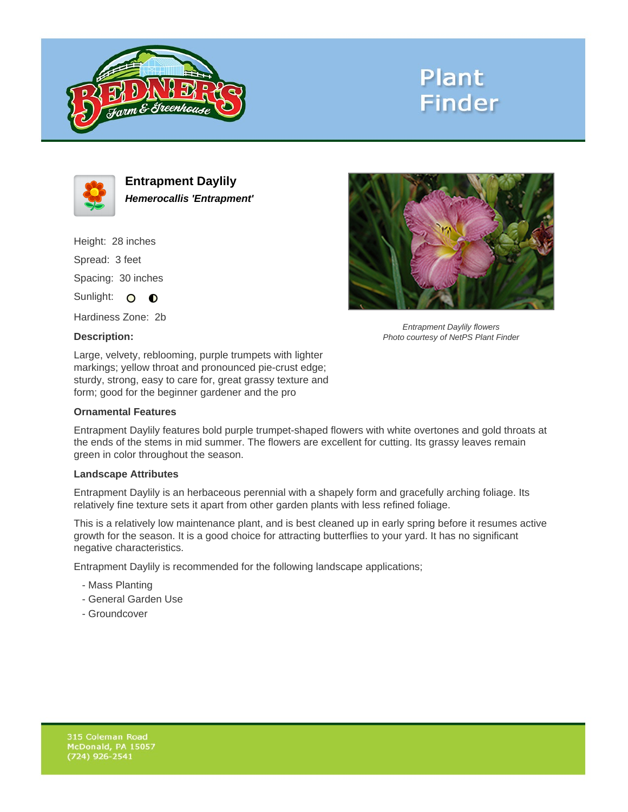

# **Plant Finder**



**Entrapment Daylily Hemerocallis 'Entrapment'**

Height: 28 inches Spread: 3 feet Spacing: 30 inches Sunlight: O **O** 

Hardiness Zone: 2b

## **Description:**

Entrapment Daylily flowers Photo courtesy of NetPS Plant Finder

Large, velvety, reblooming, purple trumpets with lighter markings; yellow throat and pronounced pie-crust edge; sturdy, strong, easy to care for, great grassy texture and form; good for the beginner gardener and the pro

### **Ornamental Features**

Entrapment Daylily features bold purple trumpet-shaped flowers with white overtones and gold throats at the ends of the stems in mid summer. The flowers are excellent for cutting. Its grassy leaves remain green in color throughout the season.

#### **Landscape Attributes**

Entrapment Daylily is an herbaceous perennial with a shapely form and gracefully arching foliage. Its relatively fine texture sets it apart from other garden plants with less refined foliage.

This is a relatively low maintenance plant, and is best cleaned up in early spring before it resumes active growth for the season. It is a good choice for attracting butterflies to your yard. It has no significant negative characteristics.

Entrapment Daylily is recommended for the following landscape applications;

- Mass Planting
- General Garden Use
- Groundcover